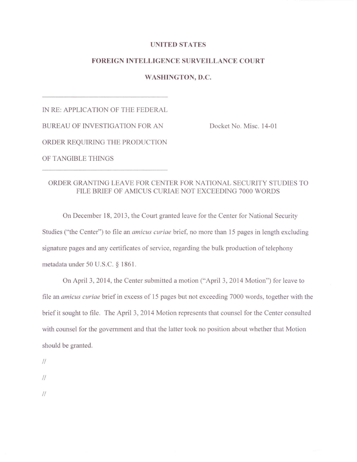## **UNITED STATES**

## **FOREIGN INTELLIGENCE SURVEILLANCE COURT**

## **WASHINGTON, D.C.**

IN RE: APPLICATION OF THE FEDERAL BUREAU OF INVESTIGATION FOR AN Docket No. Misc. 14-01 ORDER REQUIRING THE PRODUCTION OF TANGIBLE THINGS

## ORDER GRANTING LEA VE FOR CENTER FOR NATIONAL SECURITY STUDIES TO FILE BRIEF OF AMICUS CURIAE NOT EXCEEDING 7000 WORDS

On December 18, 2013 , the Court granted leave for the Center for National Security Studies ("the Center") to file an *amicus curiae* brief, no more than 15 pages in length excluding signature pages and any certificates of service, regarding the bulk production of telephony metadata under 50 U.S.C. § 1861.

On April 3, 2014, the Center submitted a motion ("April 3, 2014 Motion") for leave to file an *amicus curiae* brief in excess of 15 pages but not exceeding 7000 words, together with the brief it sought to file. The April 3, 2014 Motion represents that counsel for the Center consulted with counsel for the government and that the latter took no position about whether that Motion should be granted.

*II* 

*II* 

*II*